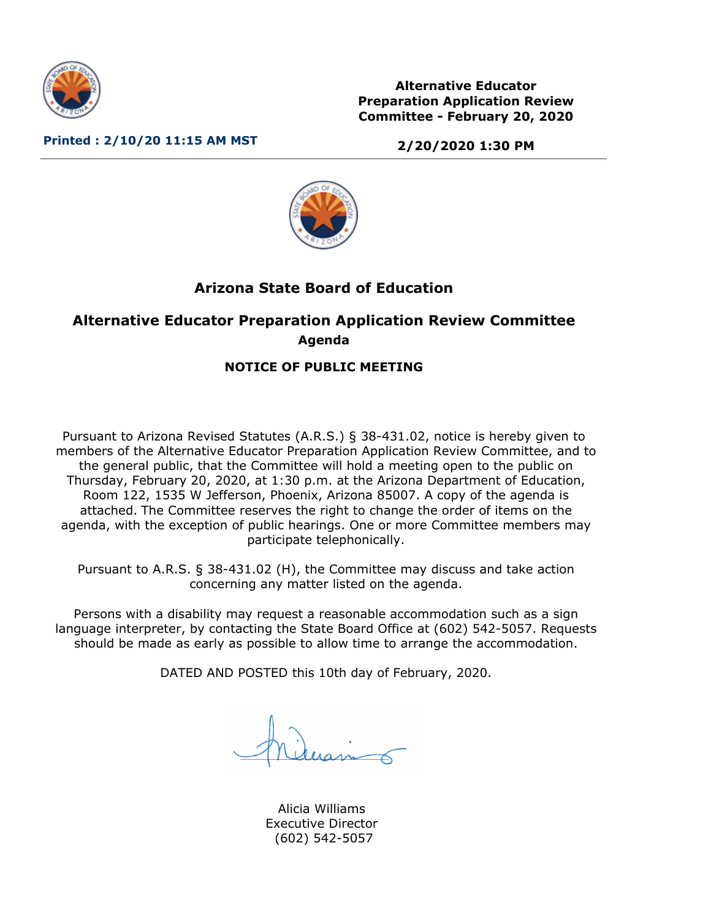

**Alternative Educator Preparation Application Review Committee - February 20, 2020**

**Printed : 2/10/20 11:15 AM MST**

**2/20/2020 1:30 PM**



# **Arizona State Board of Education**

# **Alternative Educator Preparation Application Review Committee Agenda**

## **NOTICE OF PUBLIC MEETING**

Pursuant to Arizona Revised Statutes (A.R.S.) § 38-431.02, notice is hereby given to members of the Alternative Educator Preparation Application Review Committee, and to the general public, that the Committee will hold a meeting open to the public on Thursday, February 20, 2020, at 1:30 p.m. at the Arizona Department of Education, Room 122, 1535 W Jefferson, Phoenix, Arizona 85007. A copy of the agenda is attached. The Committee reserves the right to change the order of items on the agenda, with the exception of public hearings. One or more Committee members may participate telephonically.

Pursuant to A.R.S. § 38-431.02 (H), the Committee may discuss and take action concerning any matter listed on the agenda.

Persons with a disability may request a reasonable accommodation such as a sign language interpreter, by contacting the State Board Office at (602) 542-5057. Requests should be made as early as possible to allow time to arrange the accommodation.

DATED AND POSTED this 10th day of February, 2020.

Alicia Williams Executive Director (602) 542-5057